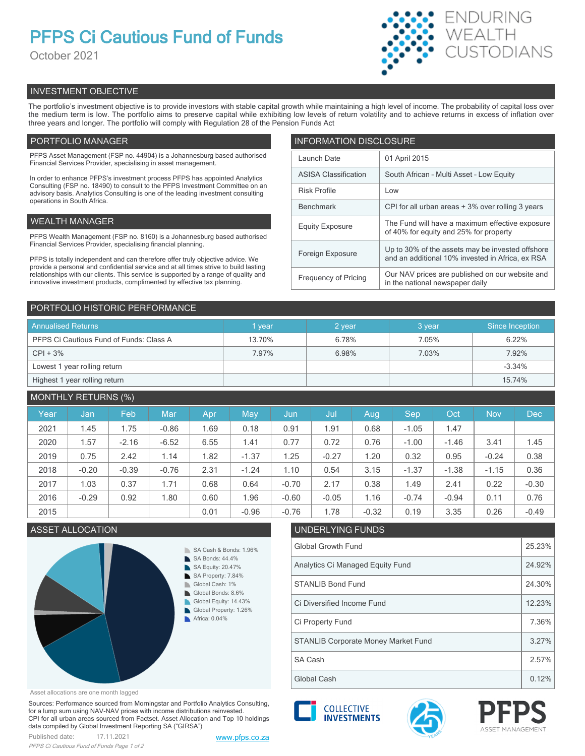# **PFPS Ci Cautious Fund of Funds**

October 2021



# INVESTMENT OBJECTIVE

The portfolio's investment objective is to provide investors with stable capital growth while maintaining a high level of income. The probability of capital loss over the medium term is low. The portfolio aims to preserve capital while exhibiting low levels of return volatility and to achieve returns in excess of inflation over three years and longer. The portfolio will comply with Regulation 28 of the Pension Funds Act

# PORTFOLIO MANAGER

PFPS Asset Management (FSP no. 44904) is a Johannesburg based authorised Financial Services Provider, specialising in asset management.

In order to enhance PFPS's investment process PFPS has appointed Analytics Consulting (FSP no. 18490) to consult to the PFPS Investment Committee on an advisory basis. Analytics Consulting is one of the leading investment consulting operations in South Africa.

# WEALTH MANAGER

PFPS Wealth Management (FSP no. 8160) is a Johannesburg based authorised Financial Services Provider, specialising financial planning.

PFPS is totally independent and can therefore offer truly objective advice. We provide a personal and confidential service and at all times strive to build lasting relationships with our clients. This service is supported by a range of quality and innovative investment products, complimented by effective tax planning.

| <b>INFORMATION DISCLOSURE</b> |                                                                                                      |  |  |  |
|-------------------------------|------------------------------------------------------------------------------------------------------|--|--|--|
| Launch Date                   | 01 April 2015                                                                                        |  |  |  |
| <b>ASISA Classification</b>   | South African - Multi Asset - Low Equity                                                             |  |  |  |
| <b>Risk Profile</b>           | Low                                                                                                  |  |  |  |
| <b>Benchmark</b>              | CPI for all urban areas + 3% over rolling 3 years                                                    |  |  |  |
| <b>Equity Exposure</b>        | The Fund will have a maximum effective exposure<br>of 40% for equity and 25% for property            |  |  |  |
| Foreign Exposure              | Up to 30% of the assets may be invested offshore<br>and an additional 10% invested in Africa, ex RSA |  |  |  |
| <b>Frequency of Pricing</b>   | Our NAV prices are published on our website and<br>in the national newspaper daily                   |  |  |  |

# PORTFOLIO HISTORIC PERFORMANCE

| <b>Annualised Returns</b>               | <b>vear</b> | $2$ year | 3 year | Since Inception |
|-----------------------------------------|-------------|----------|--------|-----------------|
| PFPS Ci Cautious Fund of Funds: Class A | 13.70%      | 6.78%    | 7.05%  | 6.22%           |
| $CPI + 3%$                              | 7.97%       | 6.98%    | 7.03%  | 7.92%           |
| Lowest 1 year rolling return            |             |          |        | $-3.34%$        |
| Highest 1 year rolling return           |             |          |        | 15.74%          |

# MONTHLY RETURNS (%)

| Year | Jan     | Feb     | <b>Mar</b> | Apr  | May     | Jun     | Jul     | Aug     | Sep     | Oct     | <b>Nov</b> | <b>Dec</b> |
|------|---------|---------|------------|------|---------|---------|---------|---------|---------|---------|------------|------------|
| 2021 | 1.45    | 1.75    | $-0.86$    | 1.69 | 0.18    | 0.91    | 1.91    | 0.68    | $-1.05$ | 1.47    |            |            |
| 2020 | 1.57    | $-2.16$ | $-6.52$    | 6.55 | 1.41    | 0.77    | 0.72    | 0.76    | $-1.00$ | $-1.46$ | 3.41       | 1.45       |
| 2019 | 0.75    | 2.42    | 1.14       | 1.82 | $-1.37$ | 1.25    | $-0.27$ | 1.20    | 0.32    | 0.95    | $-0.24$    | 0.38       |
| 2018 | $-0.20$ | $-0.39$ | $-0.76$    | 2.31 | $-1.24$ | 1.10    | 0.54    | 3.15    | $-1.37$ | $-1.38$ | $-1.15$    | 0.36       |
| 2017 | 1.03    | 0.37    | 1.71       | 0.68 | 0.64    | $-0.70$ | 2.17    | 0.38    | 1.49    | 2.41    | 0.22       | $-0.30$    |
| 2016 | $-0.29$ | 0.92    | 1.80       | 0.60 | l.96    | $-0.60$ | $-0.05$ | 1.16    | $-0.74$ | $-0.94$ | 0.11       | 0.76       |
| 2015 |         |         |            | 0.01 | $-0.96$ | $-0.76$ | 1.78    | $-0.32$ | 0.19    | 3.35    | 0.26       | $-0.49$    |

# ASSET ALLOCATION UNDERLYING FUNDS



# Asset allocations are one month lagged

Sources: Performance sourced from Morningstar and Portfolio Analytics Consulting, for a lump sum using NAV-NAV prices with income distributions reinvested. CPI for all urban areas sourced from Factset. Asset Allocation and Top 10 holdings data compiled by Global Investment Reporting SA ("GIRSA")



| Global Growth Fund                         |       |  |  |
|--------------------------------------------|-------|--|--|
| Analytics Ci Managed Equity Fund           |       |  |  |
| <b>STANLIB Bond Fund</b>                   |       |  |  |
| Ci Diversified Income Fund                 |       |  |  |
| Ci Property Fund                           |       |  |  |
| <b>STANLIB Corporate Money Market Fund</b> |       |  |  |
| <b>SA Cash</b>                             | 2.57% |  |  |
| Global Cash                                | 0.12% |  |  |